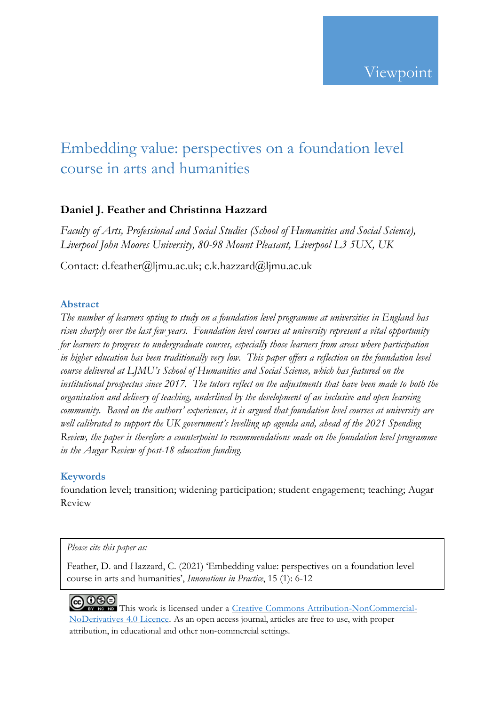# Embedding value: perspectives on a foundation level course in arts and humanities

# **Daniel J. Feather and Christinna Hazzard**

*Faculty of Arts, Professional and Social Studies (School of Humanities and Social Science), Liverpool John Moores University, 80-98 Mount Pleasant, Liverpool L3 5UX, UK*

Contact: d.feather@ljmu.ac.uk; c.k.hazzard@ljmu.ac.uk

# **Abstract**

*The number of learners opting to study on a foundation level programme at universities in England has risen sharply over the last few years. Foundation level courses at university represent a vital opportunity for learners to progress to undergraduate courses, especially those learners from areas where participation in higher education has been traditionally very low. This paper offers a reflection on the foundation level course delivered at LJMU's School of Humanities and Social Science, which has featured on the institutional prospectus since 2017. The tutors reflect on the adjustments that have been made to both the organisation and delivery of teaching, underlined by the development of an inclusive and open learning community. Based on the authors' experiences, it is argued that foundation level courses at university are well calibrated to support the UK government's levelling up agenda and, ahead of the 2021 Spending Review, the paper is therefore a counterpoint to recommendations made on the foundation level programme in the Augar Review of post-18 education funding.*

# **Keywords**

foundation level; transition; widening participation; student engagement; teaching; Augar Review

#### *Please cite this paper as:*

Feather, D. and Hazzard, C. (2021) 'Embedding value: perspectives on a foundation level course in arts and humanities', *Innovations in Practice*, 15 (1): 6-12

**@000** This work is licensed under a Creative Commons [Attribution-NonCommercial-](http://creativecommons.org/licenses/by-nc-nd/4.0/)[NoDerivatives](http://creativecommons.org/licenses/by-nc-nd/4.0/) 4.0 Licence. As an open access journal, articles are free to use, with proper attribution, in educational and other non‐commercial settings.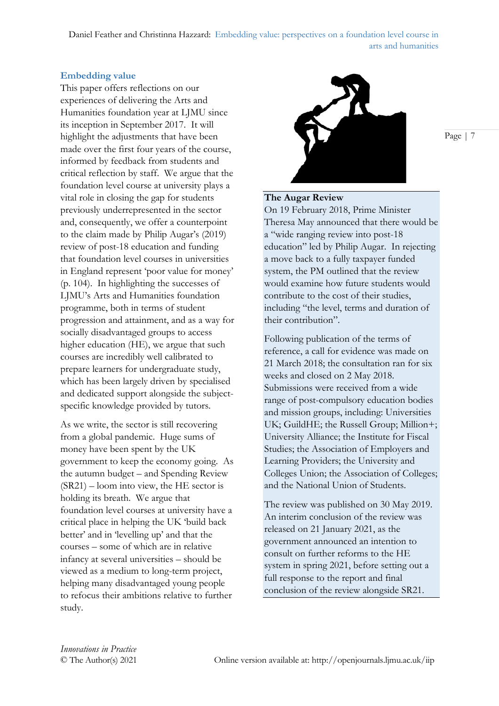Daniel Feather and Christinna Hazzard: Embedding value: perspectives on a foundation level course in arts and humanities

#### **Embedding value**

This paper offers reflections on our experiences of delivering the Arts and Humanities foundation year at LJMU since its inception in September 2017. It will highlight the adjustments that have been made over the first four years of the course, informed by feedback from students and critical reflection by staff. We argue that the foundation level course at university plays a vital role in closing the gap for students previously underrepresented in the sector and, consequently, we offer a counterpoint to the claim made by Philip Augar's (2019) review of post-18 education and funding that foundation level courses in universities in England represent 'poor value for money' (p. 104). In highlighting the successes of LJMU's Arts and Humanities foundation programme, both in terms of student progression and attainment, and as a way for socially disadvantaged groups to access higher education (HE), we argue that such courses are incredibly well calibrated to prepare learners for undergraduate study, which has been largely driven by specialised and dedicated support alongside the subjectspecific knowledge provided by tutors.

As we write, the sector is still recovering from a global pandemic. Huge sums of money have been spent by the UK government to keep the economy going. As the autumn budget – and Spending Review (SR21) – loom into view, the HE sector is holding its breath. We argue that foundation level courses at university have a critical place in helping the UK 'build back better' and in 'levelling up' and that the courses – some of which are in relative infancy at several universities – should be viewed as a medium to long-term project, helping many disadvantaged young people to refocus their ambitions relative to further study.



Page | 7

#### **The Augar Review**

On 19 February 2018, Prime Minister Theresa May announced that there would be a "wide ranging review into post-18 education" led by Philip Augar. In rejecting a move back to a fully taxpayer funded system, the PM outlined that the review would examine how future students would contribute to the cost of their studies, including "the level, terms and duration of their contribution".

Following publication of the terms of reference, a call for evidence was made on 21 March 2018; the consultation ran for six weeks and closed on 2 May 2018. Submissions were received from a wide range of post-compulsory education bodies and mission groups, including: Universities UK; GuildHE; the Russell Group; Million+; University Alliance; the Institute for Fiscal Studies; the Association of Employers and Learning Providers; the University and Colleges Union; the Association of Colleges; and the National Union of Students.

The review was published on 30 May 2019. An interim conclusion of the review was released on 21 January 2021, as the government announced an intention to consult on further reforms to the HE system in spring 2021, before setting out a full response to the report and final conclusion of the review alongside SR21.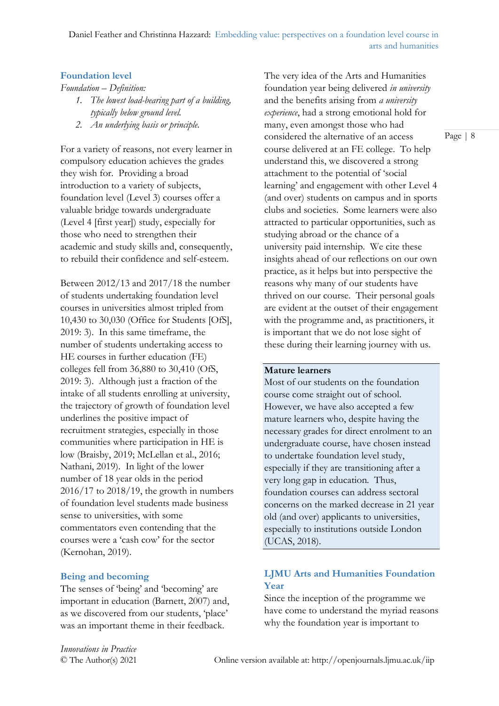#### **Foundation level**

*Foundation – Definition:*

- *1. The lowest load-bearing part of a building, typically below ground level.*
- *2. An underlying basis or principle.*

For a variety of reasons, not every learner in compulsory education achieves the grades they wish for. Providing a broad introduction to a variety of subjects, foundation level (Level 3) courses offer a valuable bridge towards undergraduate (Level 4 [first year]) study, especially for those who need to strengthen their academic and study skills and, consequently, to rebuild their confidence and self-esteem.

Between 2012/13 and 2017/18 the number of students undertaking foundation level courses in universities almost tripled from 10,430 to 30,030 (Office for Students [OfS], 2019: 3). In this same timeframe, the number of students undertaking access to HE courses in further education (FE) colleges fell from 36,880 to 30,410 (OfS, 2019: 3). Although just a fraction of the intake of all students enrolling at university, the trajectory of growth of foundation level underlines the positive impact of recruitment strategies, especially in those communities where participation in HE is low (Braisby, 2019; McLellan et al., 2016; Nathani, 2019). In light of the lower number of 18 year olds in the period 2016/17 to 2018/19, the growth in numbers of foundation level students made business sense to universities, with some commentators even contending that the courses were a 'cash cow' for the sector (Kernohan, 2019).

# **Being and becoming**

The senses of 'being' and 'becoming' are important in education (Barnett, 2007) and, as we discovered from our students, 'place' was an important theme in their feedback.

The very idea of the Arts and Humanities foundation year being delivered *in university* and the benefits arising from *a university experience*, had a strong emotional hold for many, even amongst those who had considered the alternative of an access course delivered at an FE college. To help understand this, we discovered a strong attachment to the potential of 'social learning' and engagement with other Level 4 (and over) students on campus and in sports clubs and societies. Some learners were also attracted to particular opportunities, such as studying abroad or the chance of a university paid internship. We cite these insights ahead of our reflections on our own practice, as it helps but into perspective the reasons why many of our students have thrived on our course. Their personal goals are evident at the outset of their engagement with the programme and, as practitioners, it is important that we do not lose sight of these during their learning journey with us.

#### **Mature learners**

Most of our students on the foundation course come straight out of school. However, we have also accepted a few mature learners who, despite having the necessary grades for direct enrolment to an undergraduate course, have chosen instead to undertake foundation level study, especially if they are transitioning after a very long gap in education. Thus, foundation courses can address sectoral concerns on the marked decrease in 21 year old (and over) applicants to universities, especially to institutions outside London (UCAS, 2018).

# **LJMU Arts and Humanities Foundation Year**

Since the inception of the programme we have come to understand the myriad reasons why the foundation year is important to

*Innovations in Practice*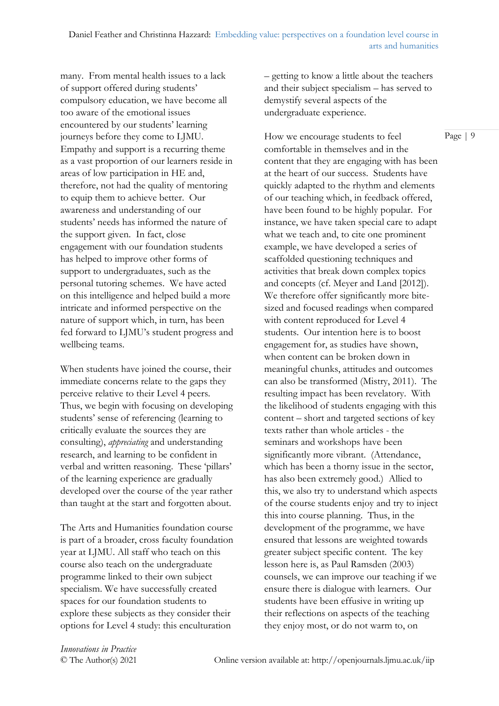many. From mental health issues to a lack of support offered during students' compulsory education, we have become all too aware of the emotional issues encountered by our students' learning journeys before they come to LJMU. Empathy and support is a recurring theme as a vast proportion of our learners reside in areas of low participation in HE and, therefore, not had the quality of mentoring to equip them to achieve better. Our awareness and understanding of our students' needs has informed the nature of the support given. In fact, close engagement with our foundation students has helped to improve other forms of support to undergraduates, such as the personal tutoring schemes. We have acted on this intelligence and helped build a more intricate and informed perspective on the nature of support which, in turn, has been fed forward to LJMU's student progress and wellbeing teams.

When students have joined the course, their immediate concerns relate to the gaps they perceive relative to their Level 4 peers. Thus, we begin with focusing on developing students' sense of referencing (learning to critically evaluate the sources they are consulting), *appreciating* and understanding research, and learning to be confident in verbal and written reasoning. These 'pillars' of the learning experience are gradually developed over the course of the year rather than taught at the start and forgotten about.

The Arts and Humanities foundation course is part of a broader, cross faculty foundation year at LJMU. All staff who teach on this course also teach on the undergraduate programme linked to their own subject specialism. We have successfully created spaces for our foundation students to explore these subjects as they consider their options for Level 4 study: this enculturation

– getting to know a little about the teachers and their subject specialism – has served to demystify several aspects of the undergraduate experience.

How we encourage students to feel comfortable in themselves and in the content that they are engaging with has been at the heart of our success. Students have quickly adapted to the rhythm and elements of our teaching which, in feedback offered, have been found to be highly popular. For instance, we have taken special care to adapt what we teach and, to cite one prominent example, we have developed a series of scaffolded questioning techniques and activities that break down complex topics and concepts (cf. Meyer and Land [2012]). We therefore offer significantly more bitesized and focused readings when compared with content reproduced for Level 4 students. Our intention here is to boost engagement for, as studies have shown, when content can be broken down in meaningful chunks, attitudes and outcomes can also be transformed (Mistry, 2011). The resulting impact has been revelatory. With the likelihood of students engaging with this content – short and targeted sections of key texts rather than whole articles - the seminars and workshops have been significantly more vibrant. (Attendance, which has been a thorny issue in the sector, has also been extremely good.) Allied to this, we also try to understand which aspects of the course students enjoy and try to inject this into course planning. Thus, in the development of the programme, we have ensured that lessons are weighted towards greater subject specific content. The key lesson here is, as Paul Ramsden (2003) counsels, we can improve our teaching if we ensure there is dialogue with learners. Our students have been effusive in writing up their reflections on aspects of the teaching they enjoy most, or do not warm to, on

*Innovations in Practice*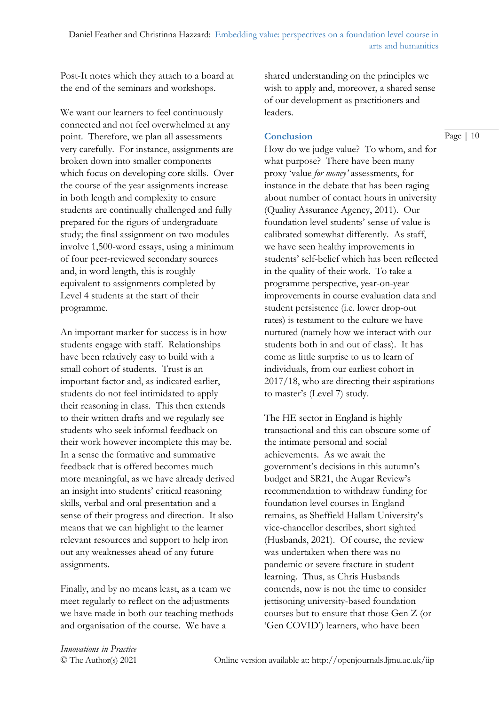Post-It notes which they attach to a board at the end of the seminars and workshops.

We want our learners to feel continuously connected and not feel overwhelmed at any point. Therefore, we plan all assessments very carefully. For instance, assignments are broken down into smaller components which focus on developing core skills. Over the course of the year assignments increase in both length and complexity to ensure students are continually challenged and fully prepared for the rigors of undergraduate study; the final assignment on two modules involve 1,500-word essays, using a minimum of four peer-reviewed secondary sources and, in word length, this is roughly equivalent to assignments completed by Level 4 students at the start of their programme.

An important marker for success is in how students engage with staff. Relationships have been relatively easy to build with a small cohort of students. Trust is an important factor and, as indicated earlier, students do not feel intimidated to apply their reasoning in class. This then extends to their written drafts and we regularly see students who seek informal feedback on their work however incomplete this may be. In a sense the formative and summative feedback that is offered becomes much more meaningful, as we have already derived an insight into students' critical reasoning skills, verbal and oral presentation and a sense of their progress and direction. It also means that we can highlight to the learner relevant resources and support to help iron out any weaknesses ahead of any future assignments.

Finally, and by no means least, as a team we meet regularly to reflect on the adjustments we have made in both our teaching methods and organisation of the course. We have a

shared understanding on the principles we wish to apply and, moreover, a shared sense of our development as practitioners and leaders.

#### **Conclusion**

How do we judge value? To whom, and for what purpose? There have been many proxy 'value *for money'* assessments, for instance in the debate that has been raging about number of contact hours in university (Quality Assurance Agency, 2011). Our foundation level students' sense of value is calibrated somewhat differently. As staff, we have seen healthy improvements in students' self-belief which has been reflected in the quality of their work. To take a programme perspective, year-on-year improvements in course evaluation data and student persistence (i.e. lower drop-out rates) is testament to the culture we have nurtured (namely how we interact with our students both in and out of class). It has come as little surprise to us to learn of individuals, from our earliest cohort in 2017/18, who are directing their aspirations to master's (Level 7) study.

The HE sector in England is highly transactional and this can obscure some of the intimate personal and social achievements. As we await the government's decisions in this autumn's budget and SR21, the Augar Review's recommendation to withdraw funding for foundation level courses in England remains, as Sheffield Hallam University's vice-chancellor describes, short sighted (Husbands, 2021). Of course, the review was undertaken when there was no pandemic or severe fracture in student learning. Thus, as Chris Husbands contends, now is not the time to consider jettisoning university-based foundation courses but to ensure that those Gen Z (or 'Gen COVID') learners, who have been

*Innovations in Practice*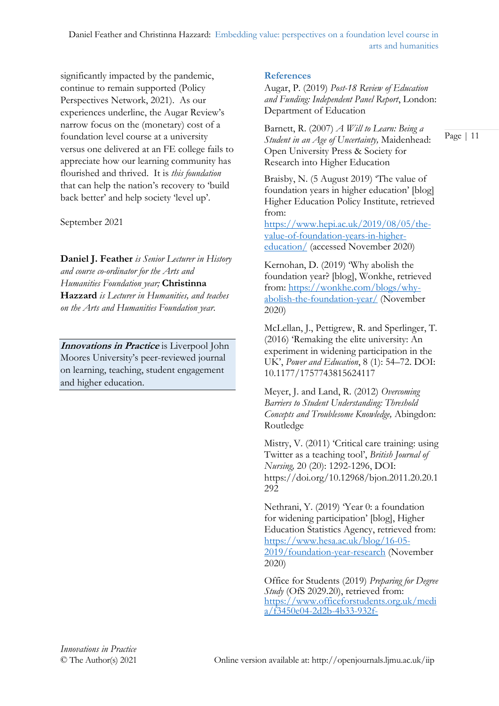significantly impacted by the pandemic, continue to remain supported (Policy Perspectives Network, 2021). As our experiences underline, the Augar Review's narrow focus on the (monetary) cost of a foundation level course at a university versus one delivered at an FE college fails to appreciate how our learning community has flourished and thrived. It is *this foundation* that can help the nation's recovery to 'build back better' and help society 'level up'.

September 2021

**Daniel J. Feather** *is Senior Lecturer in History and course co-ordinator for the Arts and Humanities Foundation year;* **Christinna Hazzard** *is Lecturer in Humanities, and teaches on the Arts and Humanities Foundation year.*

**Innovations in Practice** is Liverpool John Moores University's peer-reviewed journal on learning, teaching, student engagement and higher education.

# **References**

Augar, P. (2019) *Post-18 Review of Education and Funding: Independent Panel Report*, London: Department of Education

Barnett, R. (2007) *A Will to Learn: Being a Student in an Age of Uncertainty,* Maidenhead: Open University Press & Society for Research into Higher Education

Braisby, N. (5 August 2019) The value of foundation years in higher education' [blog] Higher Education Policy Institute, retrieved from:

[https://www.hepi.ac.uk/2019/08/05/the](https://www.hepi.ac.uk/2019/08/05/the-value-of-foundation-years-in-higher-education/)[value-of-foundation-years-in-higher](https://www.hepi.ac.uk/2019/08/05/the-value-of-foundation-years-in-higher-education/)[education/](https://www.hepi.ac.uk/2019/08/05/the-value-of-foundation-years-in-higher-education/) (accessed November 2020)

Kernohan, D. (2019) 'Why abolish the foundation year? [blog], Wonkhe, retrieved from: [https://wonkhe.com/blogs/why](https://wonkhe.com/blogs/why-abolish-the-foundation-year/)[abolish-the-foundation-year/](https://wonkhe.com/blogs/why-abolish-the-foundation-year/) (November 2020)

McLellan, J., Pettigrew, R. and Sperlinger, T. (2016) 'Remaking the elite university: An experiment in widening participation in the UK', *Power and Education*, 8 (1): 54–72. DOI: [10.1177/1757743815624117](https://doi.org/10.1177/1757743815624117)

Meyer, J. and Land, R. (2012) *Overcoming Barriers to Student Understanding: Threshold Concepts and Troublesome Knowledge,* Abingdon: Routledge

Mistry, V. (2011) 'Critical care training: using Twitter as a teaching tool', *British Journal of Nursing,* 20 (20): 1292-1296, DOI: https://doi.org/10.12968/bjon.2011.20.20.1 292

Nethrani, Y. (2019) 'Year 0: a foundation for widening participation' [blog], Higher Education Statistics Agency, retrieved from: [https://www.hesa.ac.uk/blog/16-05-](https://www.hesa.ac.uk/blog/16-05-2019/foundation-year-research) [2019/foundation-year-research](https://www.hesa.ac.uk/blog/16-05-2019/foundation-year-research) (November 2020)

Office for Students (2019) *Preparing for Degree Study* (OfS 2029.20), retrieved from: [https://www.officeforstudents.org.uk/medi](https://www.officeforstudents.org.uk/media/f3450e04-2d2b-4b33-932f-41140d57c41e/ofs2019_20.pdf) [a/f3450e04-2d2b-4b33-932f-](https://www.officeforstudents.org.uk/media/f3450e04-2d2b-4b33-932f-41140d57c41e/ofs2019_20.pdf)